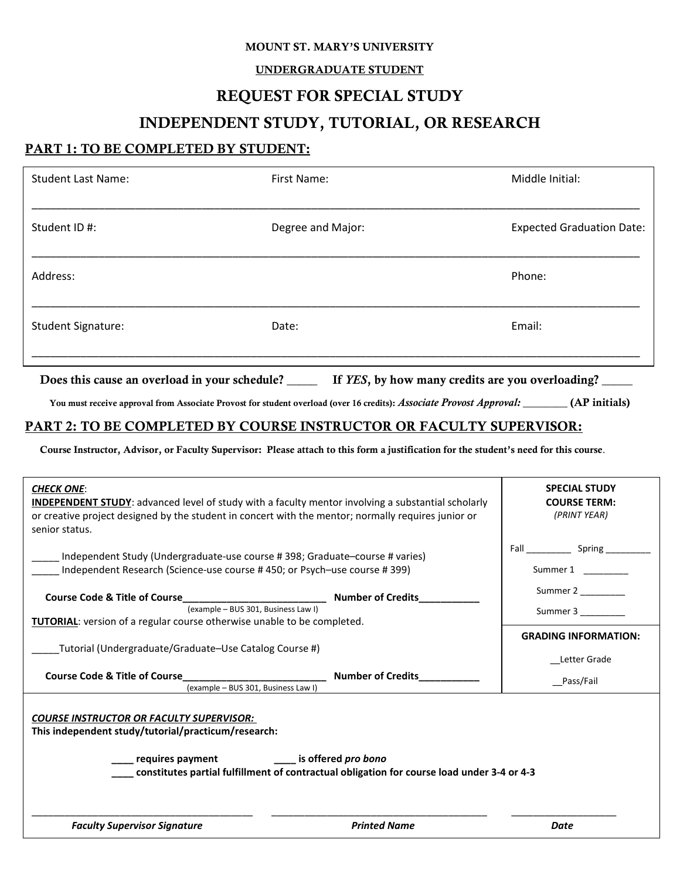#### MOUNT ST. MARY'S UNIVERSITY

#### UNDERGRADUATE STUDENT

## REQUEST FOR SPECIAL STUDY

# INDEPENDENT STUDY, TUTORIAL, OR RESEARCH

### PART 1: TO BE COMPLETED BY STUDENT:

| <b>Student Last Name:</b> | First Name:       | Middle Initial:                  |
|---------------------------|-------------------|----------------------------------|
| Student ID#:              | Degree and Major: | <b>Expected Graduation Date:</b> |
| Address:                  |                   | Phone:                           |
| <b>Student Signature:</b> | Date:             | Email:                           |
|                           |                   |                                  |

Does this cause an overload in your schedule? \_\_\_\_\_ If *YES*, by how many credits are you overloading? \_\_\_\_\_

You must receive approval from Associate Provost for student overload (over 16 credits): *Associate Provost Approval:* \_\_\_\_\_\_\_ (AP initials)

### PART 2: TO BE COMPLETED BY COURSE INSTRUCTOR OR FACULTY SUPERVISOR:

Course Instructor, Advisor, or Faculty Supervisor: Please attach to this form a justification for the student's need for this course.

| <b>CHECK ONE:</b><br><b>INDEPENDENT STUDY:</b> advanced level of study with a faculty mentor involving a substantial scholarly<br>or creative project designed by the student in concert with the mentor; normally requires junior or<br>senior status.                                       |                          | <b>SPECIAL STUDY</b><br><b>COURSE TERM:</b><br>(PRINT YEAR) |  |
|-----------------------------------------------------------------------------------------------------------------------------------------------------------------------------------------------------------------------------------------------------------------------------------------------|--------------------------|-------------------------------------------------------------|--|
|                                                                                                                                                                                                                                                                                               |                          |                                                             |  |
| Independent Study (Undergraduate-use course #398; Graduate–course #varies)<br>Independent Research (Science-use course #450; or Psych-use course #399)                                                                                                                                        |                          | Summer 1                                                    |  |
| Course Code & Title of Course <b>Course Course Course Course Course Course</b> Number of Credits                                                                                                                                                                                              |                          | Summer 2                                                    |  |
| (example - BUS 301, Business Law I)                                                                                                                                                                                                                                                           |                          |                                                             |  |
| TUTORIAL: version of a regular course otherwise unable to be completed.                                                                                                                                                                                                                       |                          | <b>GRADING INFORMATION:</b>                                 |  |
| Tutorial (Undergraduate/Graduate–Use Catalog Course #)                                                                                                                                                                                                                                        |                          | Letter Grade                                                |  |
| <b>Course Code &amp; Title of Course</b>                                                                                                                                                                                                                                                      | <b>Number of Credits</b> | Pass/Fail                                                   |  |
| (example - BUS 301, Business Law I)<br><b>COURSE INSTRUCTOR OR FACULTY SUPERVISOR:</b><br>This independent study/tutorial/practicum/research:<br>requires payment The Texas is offered pro bono<br>constitutes partial fulfillment of contractual obligation for course load under 3-4 or 4-3 |                          |                                                             |  |
| <b>Faculty Supervisor Signature</b>                                                                                                                                                                                                                                                           | <b>Printed Name</b>      | Date                                                        |  |